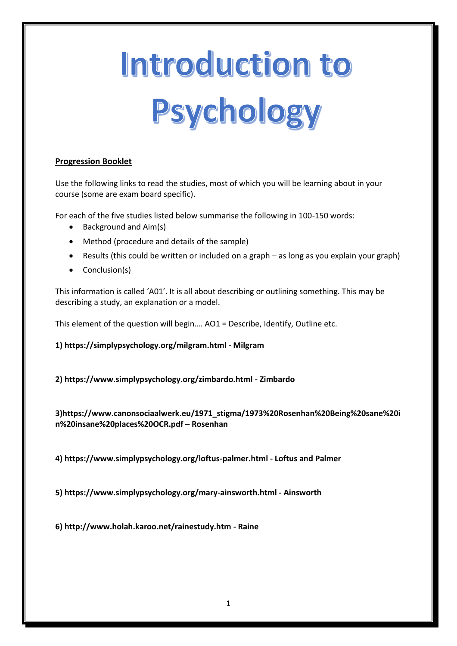# Introduction to Psychology

# **Progression Booklet**

Use the following links to read the studies, most of which you will be learning about in your course (some are exam board specific).

For each of the five studies listed below summarise the following in 100-150 words:

- Background and Aim(s)
- Method (procedure and details of the sample)
- Results (this could be written or included on a graph as long as you explain your graph)
- Conclusion(s)

This information is called 'A01'. It is all about describing or outlining something. This may be describing a study, an explanation or a model.

This element of the question will begin…. AO1 = Describe, Identify, Outline etc.

**1) https://simplypsychology.org/milgram.html - Milgram** 

**2) https://www.simplypsychology.org/zimbardo.html - Zimbardo** 

**3)https://www.canonsociaalwerk.eu/1971\_stigma/1973%20Rosenhan%20Being%20sane%20i n%20insane%20places%20OCR.pdf – Rosenhan** 

**4) https://www.simplypsychology.org/loftus-palmer.html - Loftus and Palmer** 

**5) https://www.simplypsychology.org/mary-ainsworth.html - Ainsworth** 

**6) http://www.holah.karoo.net/rainestudy.htm - Raine**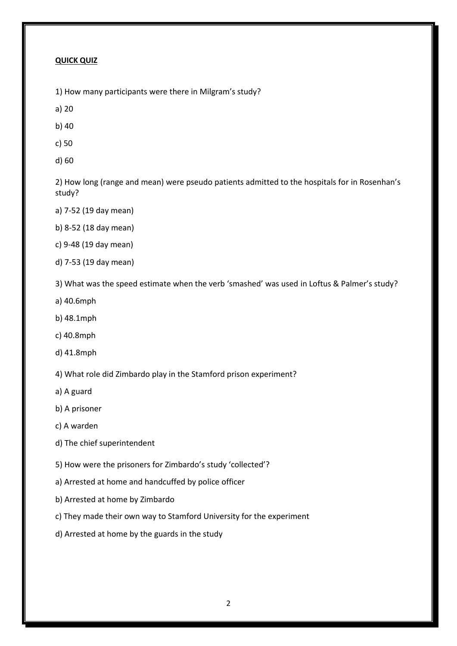#### **QUICK QUIZ**

1) How many participants were there in Milgram's study?

a) 20

b) 40

c) 50

d) 60

2) How long (range and mean) were pseudo patients admitted to the hospitals for in Rosenhan's study?

- a) 7-52 (19 day mean)
- b) 8-52 (18 day mean)
- c) 9-48 (19 day mean)
- d) 7-53 (19 day mean)

3) What was the speed estimate when the verb 'smashed' was used in Loftus & Palmer's study?

- a) 40.6mph
- b) 48.1mph
- c) 40.8mph
- d) 41.8mph
- 4) What role did Zimbardo play in the Stamford prison experiment?
- a) A guard
- b) A prisoner
- c) A warden
- d) The chief superintendent
- 5) How were the prisoners for Zimbardo's study 'collected'?
- a) Arrested at home and handcuffed by police officer
- b) Arrested at home by Zimbardo
- c) They made their own way to Stamford University for the experiment
- d) Arrested at home by the guards in the study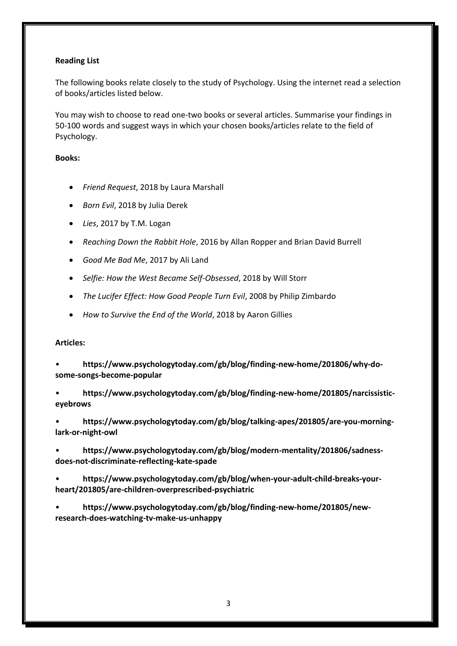## **Reading List**

The following books relate closely to the study of Psychology. Using the internet read a selection of books/articles listed below.

You may wish to choose to read one-two books or several articles. Summarise your findings in 50-100 words and suggest ways in which your chosen books/articles relate to the field of Psychology.

## **Books:**

- *Friend Request*, 2018 by Laura Marshall
- *Born Evil*, 2018 by Julia Derek
- *Lies*, 2017 by T.M. Logan
- *Reaching Down the Rabbit Hole*, 2016 by Allan Ropper and Brian David Burrell
- *Good Me Bad Me*, 2017 by Ali Land
- *Selfie: How the West Became Self-Obsessed*, 2018 by Will Storr
- *The Lucifer Effect: How Good People Turn Evil*, 2008 by Philip Zimbardo
- *How to Survive the End of the World*, 2018 by Aaron Gillies

#### **Articles:**

• **https://www.psychologytoday.com/gb/blog/finding-new-home/201806/why-dosome-songs-become-popular** 

• **https://www.psychologytoday.com/gb/blog/finding-new-home/201805/narcissisticeyebrows** 

• **https://www.psychologytoday.com/gb/blog/talking-apes/201805/are-you-morninglark-or-night-owl** 

• **https://www.psychologytoday.com/gb/blog/modern-mentality/201806/sadnessdoes-not-discriminate-reflecting-kate-spade** 

• **https://www.psychologytoday.com/gb/blog/when-your-adult-child-breaks-yourheart/201805/are-children-overprescribed-psychiatric** 

• **https://www.psychologytoday.com/gb/blog/finding-new-home/201805/newresearch-does-watching-tv-make-us-unhappy**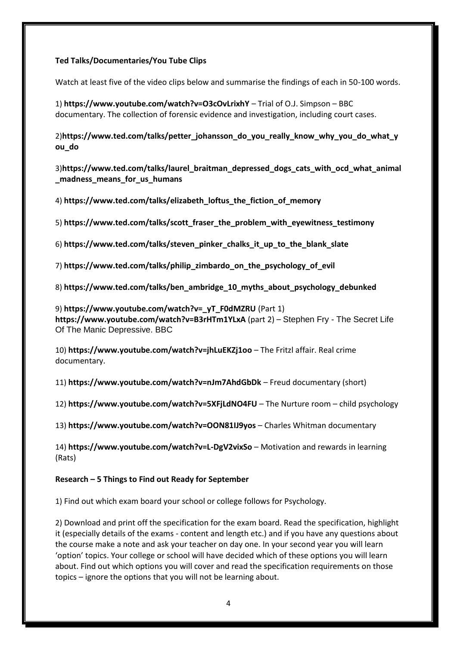## **Ted Talks/Documentaries/You Tube Clips**

Watch at least five of the video clips below and summarise the findings of each in 50-100 words.

1) **https://www.youtube.com/watch?v=O3cOvLrixhY** – Trial of O.J. Simpson – BBC documentary. The collection of forensic evidence and investigation, including court cases.

2)**https://www.ted.com/talks/petter\_johansson\_do\_you\_really\_know\_why\_you\_do\_what\_y ou\_do** 

3)**https://www.ted.com/talks/laurel\_braitman\_depressed\_dogs\_cats\_with\_ocd\_what\_animal \_madness\_means\_for\_us\_humans**

4) **https://www.ted.com/talks/elizabeth\_loftus\_the\_fiction\_of\_memory**

5) **https://www.ted.com/talks/scott\_fraser\_the\_problem\_with\_eyewitness\_testimony**

6) **https://www.ted.com/talks/steven\_pinker\_chalks\_it\_up\_to\_the\_blank\_slate**

7) **https://www.ted.com/talks/philip\_zimbardo\_on\_the\_psychology\_of\_evil**

8) **https://www.ted.com/talks/ben\_ambridge\_10\_myths\_about\_psychology\_debunked**

9) **https://www.youtube.com/watch?v=\_yT\_F0dMZRU** (Part 1) **https://www.youtube.com/watch?v=B3rHTm1YLxA** (part 2) – Stephen Fry - The Secret Life Of The Manic Depressive. BBC

10) **https://www.youtube.com/watch?v=jhLuEKZj1oo** – The Fritzl affair. Real crime documentary.

11) **https://www.youtube.com/watch?v=nJm7AhdGbDk** – Freud documentary (short)

12) **https://www.youtube.com/watch?v=5XFjLdNO4FU** – The Nurture room – child psychology

13) **https://www.youtube.com/watch?v=OON81IJ9yos** – Charles Whitman documentary

14) **https://www.youtube.com/watch?v=L-DgV2vixSo** – Motivation and rewards in learning (Rats)

#### **Research – 5 Things to Find out Ready for September**

1) Find out which exam board your school or college follows for Psychology.

2) Download and print off the specification for the exam board. Read the specification, highlight it (especially details of the exams - content and length etc.) and if you have any questions about the course make a note and ask your teacher on day one. In your second year you will learn 'option' topics. Your college or school will have decided which of these options you will learn about. Find out which options you will cover and read the specification requirements on those topics – ignore the options that you will not be learning about.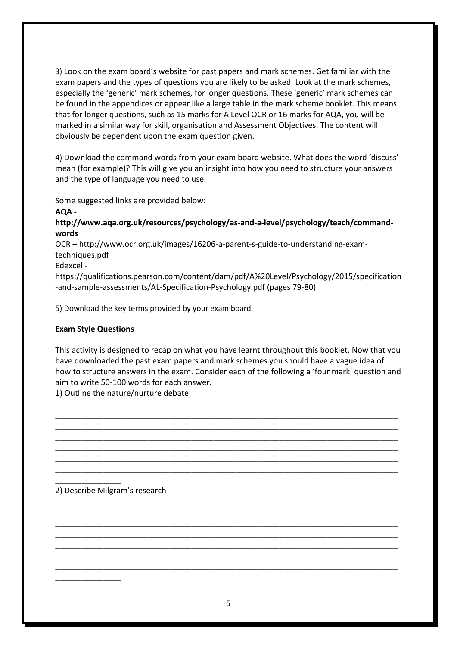3) Look on the exam board's website for past papers and mark schemes. Get familiar with the exam papers and the types of questions you are likely to be asked. Look at the mark schemes, especially the 'generic' mark schemes, for longer questions. These 'generic' mark schemes can be found in the appendices or appear like a large table in the mark scheme booklet. This means that for longer questions, such as 15 marks for A Level OCR or 16 marks for AQA, you will be marked in a similar way for skill, organisation and Assessment Objectives. The content will obviously be dependent upon the exam question given.

4) Download the command words from your exam board website. What does the word 'discuss' mean (for example)? This will give you an insight into how you need to structure your answers and the type of language you need to use.

Some suggested links are provided below:

**AQA -**

**http://www.aqa.org.uk/resources/psychology/as-and-a-level/psychology/teach/commandwords** 

OCR – http://www.ocr.org.uk/images/16206-a-parent-s-guide-to-understanding-examtechniques.pdf

Edexcel -

https://qualifications.pearson.com/content/dam/pdf/A%20Level/Psychology/2015/specification -and-sample-assessments/AL-Specification-Psychology.pdf (pages 79-80)

5) Download the key terms provided by your exam board.

## **Exam Style Questions**

This activity is designed to recap on what you have learnt throughout this booklet. Now that you have downloaded the past exam papers and mark schemes you should have a vague idea of how to structure answers in the exam. Consider each of the following a 'four mark' question and aim to write 50-100 words for each answer.

\_\_\_\_\_\_\_\_\_\_\_\_\_\_\_\_\_\_\_\_\_\_\_\_\_\_\_\_\_\_\_\_\_\_\_\_\_\_\_\_\_\_\_\_\_\_\_\_\_\_\_\_\_\_\_\_\_\_\_\_\_\_\_\_\_\_\_\_\_\_\_\_\_\_\_\_\_\_ \_\_\_\_\_\_\_\_\_\_\_\_\_\_\_\_\_\_\_\_\_\_\_\_\_\_\_\_\_\_\_\_\_\_\_\_\_\_\_\_\_\_\_\_\_\_\_\_\_\_\_\_\_\_\_\_\_\_\_\_\_\_\_\_\_\_\_\_\_\_\_\_\_\_\_\_\_\_ \_\_\_\_\_\_\_\_\_\_\_\_\_\_\_\_\_\_\_\_\_\_\_\_\_\_\_\_\_\_\_\_\_\_\_\_\_\_\_\_\_\_\_\_\_\_\_\_\_\_\_\_\_\_\_\_\_\_\_\_\_\_\_\_\_\_\_\_\_\_\_\_\_\_\_\_\_\_ \_\_\_\_\_\_\_\_\_\_\_\_\_\_\_\_\_\_\_\_\_\_\_\_\_\_\_\_\_\_\_\_\_\_\_\_\_\_\_\_\_\_\_\_\_\_\_\_\_\_\_\_\_\_\_\_\_\_\_\_\_\_\_\_\_\_\_\_\_\_\_\_\_\_\_\_\_\_ \_\_\_\_\_\_\_\_\_\_\_\_\_\_\_\_\_\_\_\_\_\_\_\_\_\_\_\_\_\_\_\_\_\_\_\_\_\_\_\_\_\_\_\_\_\_\_\_\_\_\_\_\_\_\_\_\_\_\_\_\_\_\_\_\_\_\_\_\_\_\_\_\_\_\_\_\_\_ \_\_\_\_\_\_\_\_\_\_\_\_\_\_\_\_\_\_\_\_\_\_\_\_\_\_\_\_\_\_\_\_\_\_\_\_\_\_\_\_\_\_\_\_\_\_\_\_\_\_\_\_\_\_\_\_\_\_\_\_\_\_\_\_\_\_\_\_\_\_\_\_\_\_\_\_\_\_

\_\_\_\_\_\_\_\_\_\_\_\_\_\_\_\_\_\_\_\_\_\_\_\_\_\_\_\_\_\_\_\_\_\_\_\_\_\_\_\_\_\_\_\_\_\_\_\_\_\_\_\_\_\_\_\_\_\_\_\_\_\_\_\_\_\_\_\_\_\_\_\_\_\_\_\_\_\_ \_\_\_\_\_\_\_\_\_\_\_\_\_\_\_\_\_\_\_\_\_\_\_\_\_\_\_\_\_\_\_\_\_\_\_\_\_\_\_\_\_\_\_\_\_\_\_\_\_\_\_\_\_\_\_\_\_\_\_\_\_\_\_\_\_\_\_\_\_\_\_\_\_\_\_\_\_\_ \_\_\_\_\_\_\_\_\_\_\_\_\_\_\_\_\_\_\_\_\_\_\_\_\_\_\_\_\_\_\_\_\_\_\_\_\_\_\_\_\_\_\_\_\_\_\_\_\_\_\_\_\_\_\_\_\_\_\_\_\_\_\_\_\_\_\_\_\_\_\_\_\_\_\_\_\_\_ \_\_\_\_\_\_\_\_\_\_\_\_\_\_\_\_\_\_\_\_\_\_\_\_\_\_\_\_\_\_\_\_\_\_\_\_\_\_\_\_\_\_\_\_\_\_\_\_\_\_\_\_\_\_\_\_\_\_\_\_\_\_\_\_\_\_\_\_\_\_\_\_\_\_\_\_\_\_ \_\_\_\_\_\_\_\_\_\_\_\_\_\_\_\_\_\_\_\_\_\_\_\_\_\_\_\_\_\_\_\_\_\_\_\_\_\_\_\_\_\_\_\_\_\_\_\_\_\_\_\_\_\_\_\_\_\_\_\_\_\_\_\_\_\_\_\_\_\_\_\_\_\_\_\_\_\_ \_\_\_\_\_\_\_\_\_\_\_\_\_\_\_\_\_\_\_\_\_\_\_\_\_\_\_\_\_\_\_\_\_\_\_\_\_\_\_\_\_\_\_\_\_\_\_\_\_\_\_\_\_\_\_\_\_\_\_\_\_\_\_\_\_\_\_\_\_\_\_\_\_\_\_\_\_\_

1) Outline the nature/nurture debate

2) Describe Milgram's research

\_\_\_\_\_\_\_\_\_\_\_\_\_\_\_

\_\_\_\_\_\_\_\_\_\_\_\_\_\_\_